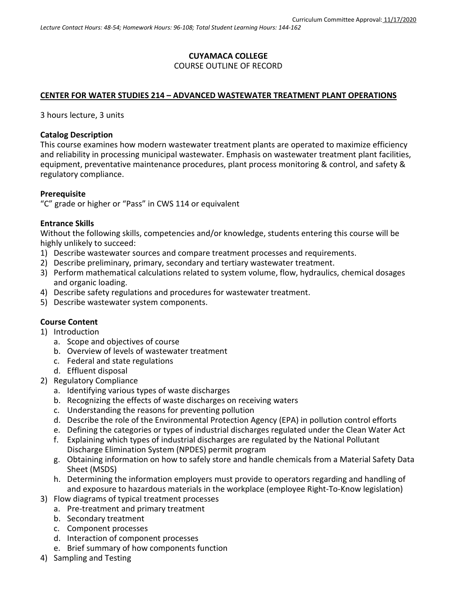## **CUYAMACA COLLEGE** COURSE OUTLINE OF RECORD

### **CENTER FOR WATER STUDIES 214 – ADVANCED WASTEWATER TREATMENT PLANT OPERATIONS**

3 hours lecture, 3 units

### **Catalog Description**

This course examines how modern wastewater treatment plants are operated to maximize efficiency and reliability in processing municipal wastewater. Emphasis on wastewater treatment plant facilities, equipment, preventative maintenance procedures, plant process monitoring & control, and safety & regulatory compliance.

#### **Prerequisite**

"C" grade or higher or "Pass" in CWS 114 or equivalent

#### **Entrance Skills**

Without the following skills, competencies and/or knowledge, students entering this course will be highly unlikely to succeed:

- 1) Describe wastewater sources and compare treatment processes and requirements.
- 2) Describe preliminary, primary, secondary and tertiary wastewater treatment.
- 3) Perform mathematical calculations related to system volume, flow, hydraulics, chemical dosages and organic loading.
- 4) Describe safety regulations and procedures for wastewater treatment.
- 5) Describe wastewater system components.

### **Course Content**

- 1) Introduction
	- a. Scope and objectives of course
	- b. Overview of levels of wastewater treatment
	- c. Federal and state regulations
	- d. Effluent disposal
- 2) Regulatory Compliance
	- a. Identifying various types of waste discharges
	- b. Recognizing the effects of waste discharges on receiving waters
	- c. Understanding the reasons for preventing pollution
	- d. Describe the role of the Environmental Protection Agency (EPA) in pollution control efforts
	- e. Defining the categories or types of industrial discharges regulated under the Clean Water Act
	- f. Explaining which types of industrial discharges are regulated by the National Pollutant Discharge Elimination System (NPDES) permit program
	- g. Obtaining information on how to safely store and handle chemicals from a Material Safety Data Sheet (MSDS)
	- h. Determining the information employers must provide to operators regarding and handling of and exposure to hazardous materials in the workplace (employee Right-To-Know legislation)
- 3) Flow diagrams of typical treatment processes
	- a. Pre-treatment and primary treatment
	- b. Secondary treatment
	- c. Component processes
	- d. Interaction of component processes
	- e. Brief summary of how components function
- 4) Sampling and Testing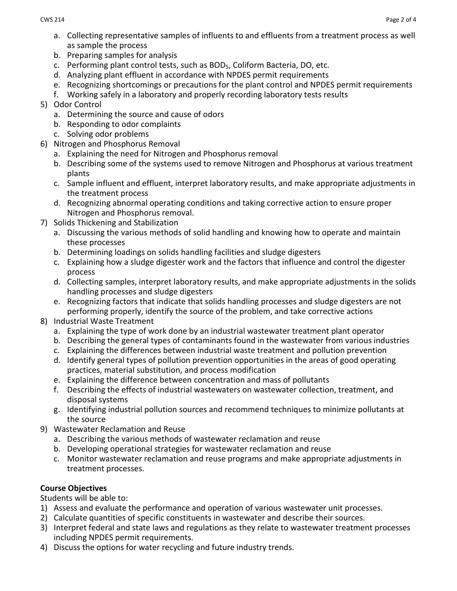- a. Collecting representative samples of influents to and effluents from a treatment process as well as sample the process
- b. Preparing samples for analysis
- c. Performing plant control tests, such as BOD5, Coliform Bacteria, DO, etc.
- d. Analyzing plant effluent in accordance with NPDES permit requirements
- e. Recognizing shortcomings or precautions for the plant control and NPDES permit requirements
- f. Working safely in a laboratory and properly recording laboratory tests results
- 5) Odor Control
	- a. Determining the source and cause of odors
	- b. Responding to odor complaints
	- c. Solving odor problems
- 6) Nitrogen and Phosphorus Removal
	- a. Explaining the need for Nitrogen and Phosphorus removal
	- b. Describing some of the systems used to remove Nitrogen and Phosphorus at various treatment plants
	- c. Sample influent and effluent, interpret laboratory results, and make appropriate adjustments in the treatment process
	- d. Recognizing abnormal operating conditions and taking corrective action to ensure proper Nitrogen and Phosphorus removal.
- 7) Solids Thickening and Stabilization
	- a. Discussing the various methods of solid handling and knowing how to operate and maintain these processes
	- b. Determining loadings on solids handling facilities and sludge digesters
	- c. Explaining how a sludge digester work and the factors that influence and control the digester process
	- d. Collecting samples, interpret laboratory results, and make appropriate adjustments in the solids handling processes and sludge digesters
	- e. Recognizing factors that indicate that solids handling processes and sludge digesters are not performing properly, identify the source of the problem, and take corrective actions
- 8) Industrial Waste Treatment
	- a. Explaining the type of work done by an industrial wastewater treatment plant operator
	- b. Describing the general types of contaminants found in the wastewater from various industries
	- c. Explaining the differences between industrial waste treatment and pollution prevention
	- d. Identify general types of pollution prevention opportunities in the areas of good operating practices, material substitution, and process modification
	- e. Explaining the difference between concentration and mass of pollutants
	- f. Describing the effects of industrial wastewaters on wastewater collection, treatment, and disposal systems
	- g. Identifying industrial pollution sources and recommend techniques to minimize pollutants at the source
- 9) Wastewater Reclamation and Reuse
	- a. Describing the various methods of wastewater reclamation and reuse
	- b. Developing operational strategies for wastewater reclamation and reuse
	- c. Monitor wastewater reclamation and reuse programs and make appropriate adjustments in treatment processes.

# **Course Objectives**

Students will be able to:

- 1) Assess and evaluate the performance and operation of various wastewater unit processes.
- 2) Calculate quantities of specific constituents in wastewater and describe their sources.
- 3) Interpret federal and state laws and regulations as they relate to wastewater treatment processes including NPDES permit requirements.
- 4) Discuss the options for water recycling and future industry trends.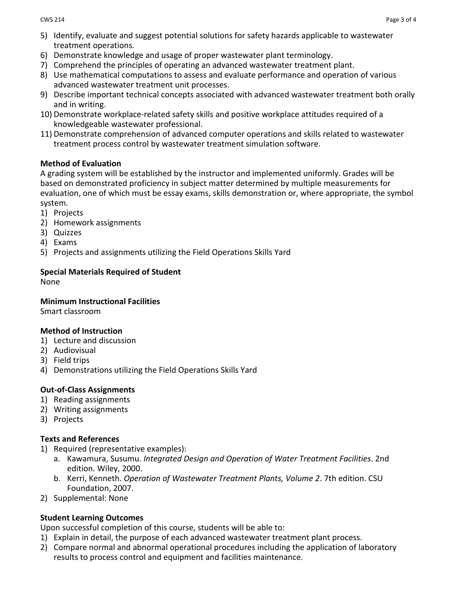- 5) Identify, evaluate and suggest potential solutions for safety hazards applicable to wastewater treatment operations.
- 6) Demonstrate knowledge and usage of proper wastewater plant terminology.
- 7) Comprehend the principles of operating an advanced wastewater treatment plant.
- 8) Use mathematical computations to assess and evaluate performance and operation of various advanced wastewater treatment unit processes.
- 9) Describe important technical concepts associated with advanced wastewater treatment both orally and in writing.
- 10) Demonstrate workplace-related safety skills and positive workplace attitudes required of a knowledgeable wastewater professional.
- 11) Demonstrate comprehension of advanced computer operations and skills related to wastewater treatment process control by wastewater treatment simulation software.

## **Method of Evaluation**

A grading system will be established by the instructor and implemented uniformly. Grades will be based on demonstrated proficiency in subject matter determined by multiple measurements for evaluation, one of which must be essay exams, skills demonstration or, where appropriate, the symbol system.

- 1) Projects
- 2) Homework assignments
- 3) Quizzes
- 4) Exams
- 5) Projects and assignments utilizing the Field Operations Skills Yard

# **Special Materials Required of Student**

None

### **Minimum Instructional Facilities**

Smart classroom

# **Method of Instruction**

- 1) Lecture and discussion
- 2) Audiovisual
- 3) Field trips
- 4) Demonstrations utilizing the Field Operations Skills Yard

# **Out-of-Class Assignments**

- 1) Reading assignments
- 2) Writing assignments
- 3) Projects

# **Texts and References**

- 1) Required (representative examples):
	- a. Kawamura, Susumu. *Integrated Design and Operation of Water Treatment Facilities*. 2nd edition. Wiley, 2000.
	- b. Kerri, Kenneth. *Operation of Wastewater Treatment Plants, Volume 2*. 7th edition. CSU Foundation, 2007.
- 2) Supplemental: None

# **Student Learning Outcomes**

Upon successful completion of this course, students will be able to:

- 1) Explain in detail, the purpose of each advanced wastewater treatment plant process.
- 2) Compare normal and abnormal operational procedures including the application of laboratory results to process control and equipment and facilities maintenance.